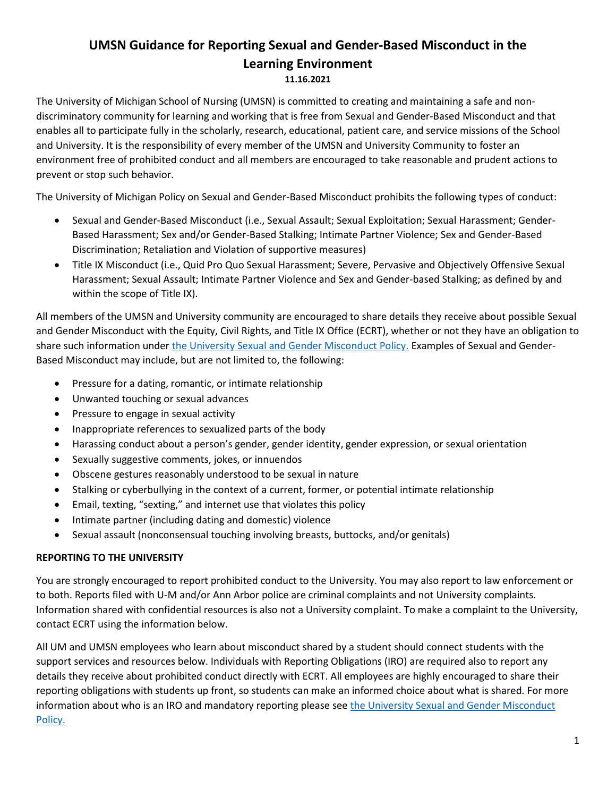# **UMSN Guidance for Reporting Sexual and Gender-Based Misconduct in the Learning Environment**

#### **11.16.2021**

The University of Michigan School of Nursing (UMSN) is committed to creating and maintaining a safe and nondiscriminatory community for learning and working that is free from Sexual and Gender-Based Misconduct and that enables all to participate fully in the scholarly, research, educational, patient care, and service missions of the School and University. It is the responsibility of every member of the UMSN and University Community to foster an environment free of prohibited conduct and all members are encouraged to take reasonable and prudent actions to prevent or stop such behavior.

The University of Michigan Policy on Sexual and Gender-Based Misconduct prohibits the following types of conduct:

- Sexual and Gender-Based Misconduct (i.e., Sexual Assault; Sexual Exploitation; Sexual Harassment; Gender-Based Harassment; Sex and/or Gender-Based Stalking; Intimate Partner Violence; Sex and Gender-Based Discrimination; Retaliation and Violation of supportive measures)
- Title IX Misconduct (i.e., Quid Pro Quo Sexual Harassment; Severe, Pervasive and Objectively Offensive Sexual Harassment; Sexual Assault; Intimate Partner Violence and Sex and Gender-based Stalking; as defined by and within the scope of Title IX).

All members of the UMSN and University community are encouraged to share details they receive about possible Sexual and Gender Misconduct with the Equity, Civil Rights, and Title IX Office (ECRT), whether or not they have an obligation to share such information under [the University Sexual and Gender Misconduct Policy.](https://sexualmisconduct.umich.edu/wp-content/uploads/2021/09/sgbm-policy.pdf) Examples of Sexual and Gender-Based Misconduct may include, but are not limited to, the following:

- Pressure for a dating, romantic, or intimate relationship
- Unwanted touching or sexual advances
- Pressure to engage in sexual activity
- Inappropriate references to sexualized parts of the body
- Harassing conduct about a person's gender, gender identity, gender expression, or sexual orientation
- Sexually suggestive comments, jokes, or innuendos
- Obscene gestures reasonably understood to be sexual in nature
- Stalking or cyberbullying in the context of a current, former, or potential intimate relationship
- Email, texting, "sexting," and internet use that violates this policy
- Intimate partner (including dating and domestic) violence
- Sexual assault (nonconsensual touching involving breasts, buttocks, and/or genitals)

### **REPORTING TO THE UNIVERSITY**

You are strongly encouraged to report prohibited conduct to the University. You may also report to law enforcement or to both. Reports filed with U-M and/or Ann Arbor police are criminal complaints and not University complaints. Information shared with confidential resources is also not a University complaint. To make a complaint to the University, contact ECRT using the information below.

All UM and UMSN employees who learn about misconduct shared by a student should connect students with the support services and resources below. Individuals with Reporting Obligations (IRO) are required also to report any details they receive about prohibited conduct directly with ECRT. All employees are highly encouraged to share their reporting obligations with students up front, so students can make an informed choice about what is shared. For more information about who is an IRO and mandatory reporting please see the University Sexual and Gender Misconduct [Policy.](https://sexualmisconduct.umich.edu/wp-content/uploads/2021/09/sgbm-policy.pdf)